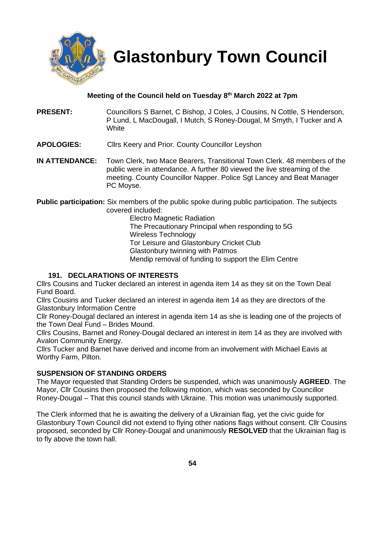

 **Glastonbury Town Council**

# **Meeting of the Council held on Tuesday 8th March 2022 at 7pm**

- **PRESENT:** Councillors S Barnet, C Bishop, J Coles, J Cousins, N Cottle, S Henderson, P Lund, L MacDougall, I Mutch, S Roney-Dougal, M Smyth, I Tucker and A **White**
- **APOLOGIES:** Cllrs Keery and Prior. County Councillor Leyshon
- **IN ATTENDANCE:** Town Clerk, two Mace Bearers, Transitional Town Clerk. 48 members of the public were in attendance. A further 80 viewed the live streaming of the meeting. County Councillor Napper. Police Sgt Lancey and Beat Manager PC Moyse.

**Public participation:** Six members of the public spoke during public participation. The subjects covered included:

> Electro Magnetic Radiation The Precautionary Principal when responding to 5G Wireless Technology Tor Leisure and Glastonbury Cricket Club Glastonbury twinning with Patmos Mendip removal of funding to support the Elim Centre

## **191. DECLARATIONS OF INTERESTS**

Cllrs Cousins and Tucker declared an interest in agenda item 14 as they sit on the Town Deal Fund Board.

Cllrs Cousins and Tucker declared an interest in agenda item 14 as they are directors of the Glastonbury Information Centre

Cllr Roney-Dougal declared an interest in agenda item 14 as she is leading one of the projects of the Town Deal Fund – Brides Mound.

Cllrs Cousins, Barnet and Roney-Dougal declared an interest in item 14 as they are involved with Avalon Community Energy.

Cllrs Tucker and Barnet have derived and income from an involvement with Michael Eavis at Worthy Farm, Pilton.

## **SUSPENSION OF STANDING ORDERS**

The Mayor requested that Standing Orders be suspended, which was unanimously **AGREED**. The Mayor, Cllr Cousins then proposed the following motion, which was seconded by Councillor Roney-Dougal – That this council stands with Ukraine. This motion was unanimously supported.

The Clerk informed that he is awaiting the delivery of a Ukrainian flag, yet the civic guide for Glastonbury Town Council did not extend to flying other nations flags without consent. Cllr Cousins proposed, seconded by Cllr Roney-Dougal and unanimously **RESOLVED** that the Ukrainian flag is to fly above the town hall.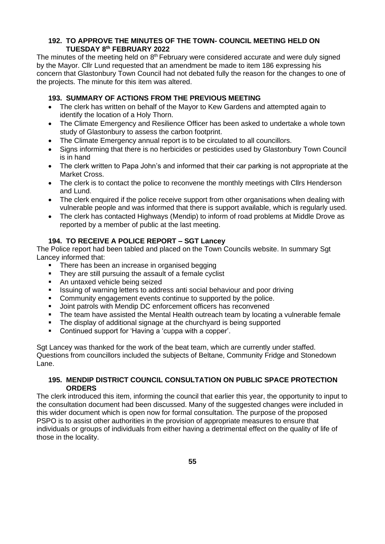## **192. TO APPROVE THE MINUTES OF THE TOWN- COUNCIL MEETING HELD ON TUESDAY 8 th FEBRUARY 2022**

The minutes of the meeting held on 8<sup>th</sup> February were considered accurate and were duly signed by the Mayor. Cllr Lund requested that an amendment be made to item 186 expressing his concern that Glastonbury Town Council had not debated fully the reason for the changes to one of the projects. The minute for this item was altered.

# **193. SUMMARY OF ACTIONS FROM THE PREVIOUS MEETING**

- The clerk has written on behalf of the Mayor to Kew Gardens and attempted again to identify the location of a Holy Thorn.
- The Climate Emergency and Resilience Officer has been asked to undertake a whole town study of Glastonbury to assess the carbon footprint.
- The Climate Emergency annual report is to be circulated to all councillors.
- Signs informing that there is no herbicides or pesticides used by Glastonbury Town Council is in hand
- The clerk written to Papa John's and informed that their car parking is not appropriate at the Market Cross.
- The clerk is to contact the police to reconvene the monthly meetings with Cllrs Henderson and Lund.
- The clerk enquired if the police receive support from other organisations when dealing with vulnerable people and was informed that there is support available, which is regularly used.
- The clerk has contacted Highways (Mendip) to inform of road problems at Middle Drove as reported by a member of public at the last meeting.

# **194. TO RECEIVE A POLICE REPORT – SGT Lancey**

The Police report had been tabled and placed on the Town Councils website. In summary Sgt Lancey informed that:

- There has been an increase in organised begging
- They are still pursuing the assault of a female cyclist
- An untaxed vehicle being seized
- **EXEDENT** Issuing of warning letters to address anti social behaviour and poor driving
- Community engagement events continue to supported by the police.
- Joint patrols with Mendip DC enforcement officers has reconvened
- The team have assisted the Mental Health outreach team by locating a vulnerable female
- The display of additional signage at the churchyard is being supported
- Continued support for 'Having a 'cuppa with a copper'.

Sgt Lancey was thanked for the work of the beat team, which are currently under staffed. Questions from councillors included the subjects of Beltane, Community Fridge and Stonedown Lane.

### **195. MENDIP DISTRICT COUNCIL CONSULTATION ON PUBLIC SPACE PROTECTION ORDERS**

The clerk introduced this item, informing the council that earlier this year, the opportunity to input to the consultation document had been discussed. Many of the suggested changes were included in this wider document which is open now for formal consultation. The purpose of the proposed PSPO is to assist other authorities in the provision of appropriate measures to ensure that individuals or groups of individuals from either having a detrimental effect on the quality of life of those in the locality.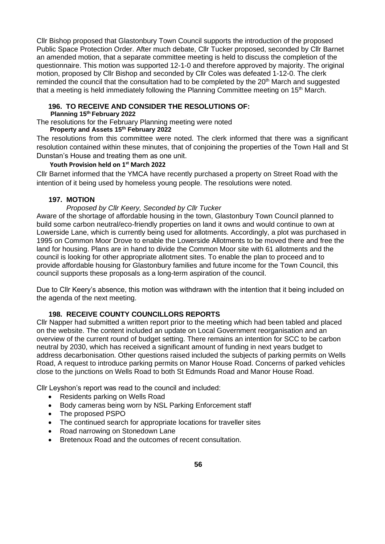Cllr Bishop proposed that Glastonbury Town Council supports the introduction of the proposed Public Space Protection Order. After much debate, Cllr Tucker proposed, seconded by Cllr Barnet an amended motion, that a separate committee meeting is held to discuss the completion of the questionnaire. This motion was supported 12-1-0 and therefore approved by majority. The original motion, proposed by Cllr Bishop and seconded by Cllr Coles was defeated 1-12-0. The clerk reminded the council that the consultation had to be completed by the  $20<sup>th</sup>$  March and suggested that a meeting is held immediately following the Planning Committee meeting on  $15<sup>th</sup>$  March.

### **196. TO RECEIVE AND CONSIDER THE RESOLUTIONS OF:**

**Planning 15th February 2022**

The resolutions for the February Planning meeting were noted

### **Property and Assets 15th February 2022**

The resolutions from this committee were noted. The clerk informed that there was a significant resolution contained within these minutes, that of conjoining the properties of the Town Hall and St Dunstan's House and treating them as one unit.

### **Youth Provision held on 1st March 2022**

Cllr Barnet informed that the YMCA have recently purchased a property on Street Road with the intention of it being used by homeless young people. The resolutions were noted.

## **197. MOTION**

### *Proposed by Cllr Keery, Seconded by Cllr Tucker*

Aware of the shortage of affordable housing in the town, Glastonbury Town Council planned to build some carbon neutral/eco-friendly properties on land it owns and would continue to own at Lowerside Lane, which is currently being used for allotments. Accordingly, a plot was purchased in 1995 on Common Moor Drove to enable the Lowerside Allotments to be moved there and free the land for housing. Plans are in hand to divide the Common Moor site with 61 allotments and the council is looking for other appropriate allotment sites. To enable the plan to proceed and to provide affordable housing for Glastonbury families and future income for the Town Council, this council supports these proposals as a long-term aspiration of the council.

Due to Cllr Keery's absence, this motion was withdrawn with the intention that it being included on the agenda of the next meeting.

## **198. RECEIVE COUNTY COUNCILLORS REPORTS**

Cllr Napper had submitted a written report prior to the meeting which had been tabled and placed on the website. The content included an update on Local Government reorganisation and an overview of the current round of budget setting. There remains an intention for SCC to be carbon neutral by 2030, which has received a significant amount of funding in next years budget to address decarbonisation. Other questions raised included the subjects of parking permits on Wells Road, A request to introduce parking permits on Manor House Road. Concerns of parked vehicles close to the junctions on Wells Road to both St Edmunds Road and Manor House Road.

Cllr Leyshon's report was read to the council and included:

- Residents parking on Wells Road
- Body cameras being worn by NSL Parking Enforcement staff
- The proposed PSPO
- The continued search for appropriate locations for traveller sites
- Road narrowing on Stonedown Lane
- Bretenoux Road and the outcomes of recent consultation.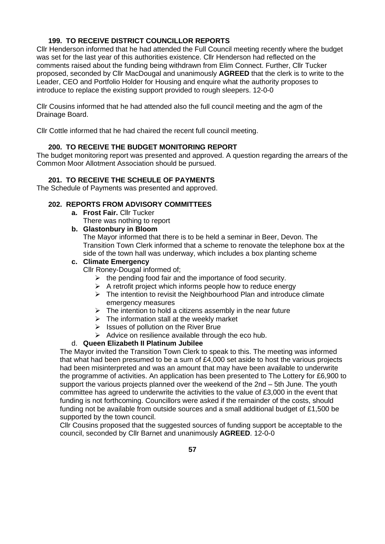# **199. TO RECEIVE DISTRICT COUNCILLOR REPORTS**

Cllr Henderson informed that he had attended the Full Council meeting recently where the budget was set for the last year of this authorities existence. Cllr Henderson had reflected on the comments raised about the funding being withdrawn from Elim Connect. Further, Cllr Tucker proposed, seconded by Cllr MacDougal and unanimously **AGREED** that the clerk is to write to the Leader, CEO and Portfolio Holder for Housing and enquire what the authority proposes to introduce to replace the existing support provided to rough sleepers. 12-0-0

Cllr Cousins informed that he had attended also the full council meeting and the agm of the Drainage Board.

Cllr Cottle informed that he had chaired the recent full council meeting.

### **200. TO RECEIVE THE BUDGET MONITORING REPORT**

The budget monitoring report was presented and approved. A question regarding the arrears of the Common Moor Allotment Association should be pursued.

### **201. TO RECEIVE THE SCHEULE OF PAYMENTS**

The Schedule of Payments was presented and approved.

#### **202. REPORTS FROM ADVISORY COMMITTEES**

- **a. Frost Fair.** Cllr Tucker
	- There was nothing to report

### **b. Glastonbury in Bloom**

The Mayor informed that there is to be held a seminar in Beer, Devon. The Transition Town Clerk informed that a scheme to renovate the telephone box at the side of the town hall was underway, which includes a box planting scheme

## **c. Climate Emergency**

Cllr Roney-Dougal informed of;

- $\triangleright$  the pending food fair and the importance of food security.
- $\triangleright$  A retrofit project which informs people how to reduce energy
- ➢ The intention to revisit the Neighbourhood Plan and introduce climate emergency measures
- $\triangleright$  The intention to hold a citizens assembly in the near future
- $\triangleright$  The information stall at the weekly market
- ➢ Issues of pollution on the River Brue
- $\triangleright$  Advice on resilience available through the eco hub.

#### d. **Queen Elizabeth II Platinum Jubilee**

The Mayor invited the Transition Town Clerk to speak to this. The meeting was informed that what had been presumed to be a sum of £4,000 set aside to host the various projects had been misinterpreted and was an amount that may have been available to underwrite the programme of activities. An application has been presented to The Lottery for £6,900 to support the various projects planned over the weekend of the 2nd – 5th June. The youth committee has agreed to underwrite the activities to the value of £3,000 in the event that funding is not forthcoming. Councillors were asked if the remainder of the costs, should funding not be available from outside sources and a small additional budget of £1,500 be supported by the town council.

Cllr Cousins proposed that the suggested sources of funding support be acceptable to the council, seconded by Cllr Barnet and unanimously **AGREED**. 12-0-0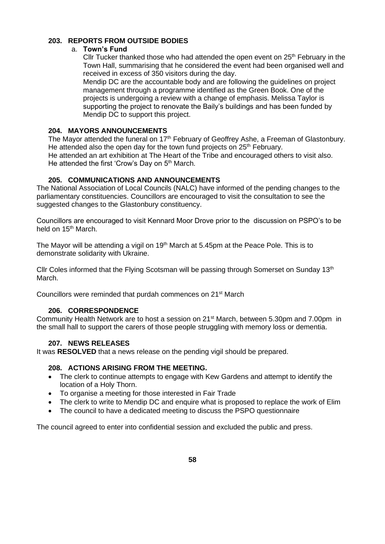## **203. REPORTS FROM OUTSIDE BODIES**

### a. **Town's Fund**

Cllr Tucker thanked those who had attended the open event on  $25<sup>th</sup>$  February in the Town Hall, summarising that he considered the event had been organised well and received in excess of 350 visitors during the day.

Mendip DC are the accountable body and are following the guidelines on project management through a programme identified as the Green Book. One of the projects is undergoing a review with a change of emphasis. Melissa Taylor is supporting the project to renovate the Baily's buildings and has been funded by Mendip DC to support this project.

## **204. MAYORS ANNOUNCEMENTS**

The Mayor attended the funeral on 17<sup>th</sup> February of Geoffrey Ashe, a Freeman of Glastonbury. He attended also the open day for the town fund projects on  $25<sup>th</sup>$  February. He attended an art exhibition at The Heart of the Tribe and encouraged others to visit also. He attended the first 'Crow's Day on 5<sup>th</sup> March.

# **205. COMMUNICATIONS AND ANNOUNCEMENTS**

The National Association of Local Councils (NALC) have informed of the pending changes to the parliamentary constituencies. Councillors are encouraged to visit the consultation to see the suggested changes to the Glastonbury constituency.

Councillors are encouraged to visit Kennard Moor Drove prior to the discussion on PSPO's to be held on 15<sup>th</sup> March.

The Mayor will be attending a vigil on 19<sup>th</sup> March at 5.45pm at the Peace Pole. This is to demonstrate solidarity with Ukraine.

Cllr Coles informed that the Flying Scotsman will be passing through Somerset on Sunday 13<sup>th</sup> March.

Councillors were reminded that purdah commences on 21<sup>st</sup> March

## **206. CORRESPONDENCE**

Community Health Network are to host a session on 21<sup>st</sup> March, between 5.30pm and 7.00pm in the small hall to support the carers of those people struggling with memory loss or dementia.

# **207. NEWS RELEASES**

It was **RESOLVED** that a news release on the pending vigil should be prepared.

## **208. ACTIONS ARISING FROM THE MEETING.**

- The clerk to continue attempts to engage with Kew Gardens and attempt to identify the location of a Holy Thorn.
- To organise a meeting for those interested in Fair Trade
- The clerk to write to Mendip DC and enquire what is proposed to replace the work of Elim
- The council to have a dedicated meeting to discuss the PSPO questionnaire

The council agreed to enter into confidential session and excluded the public and press.